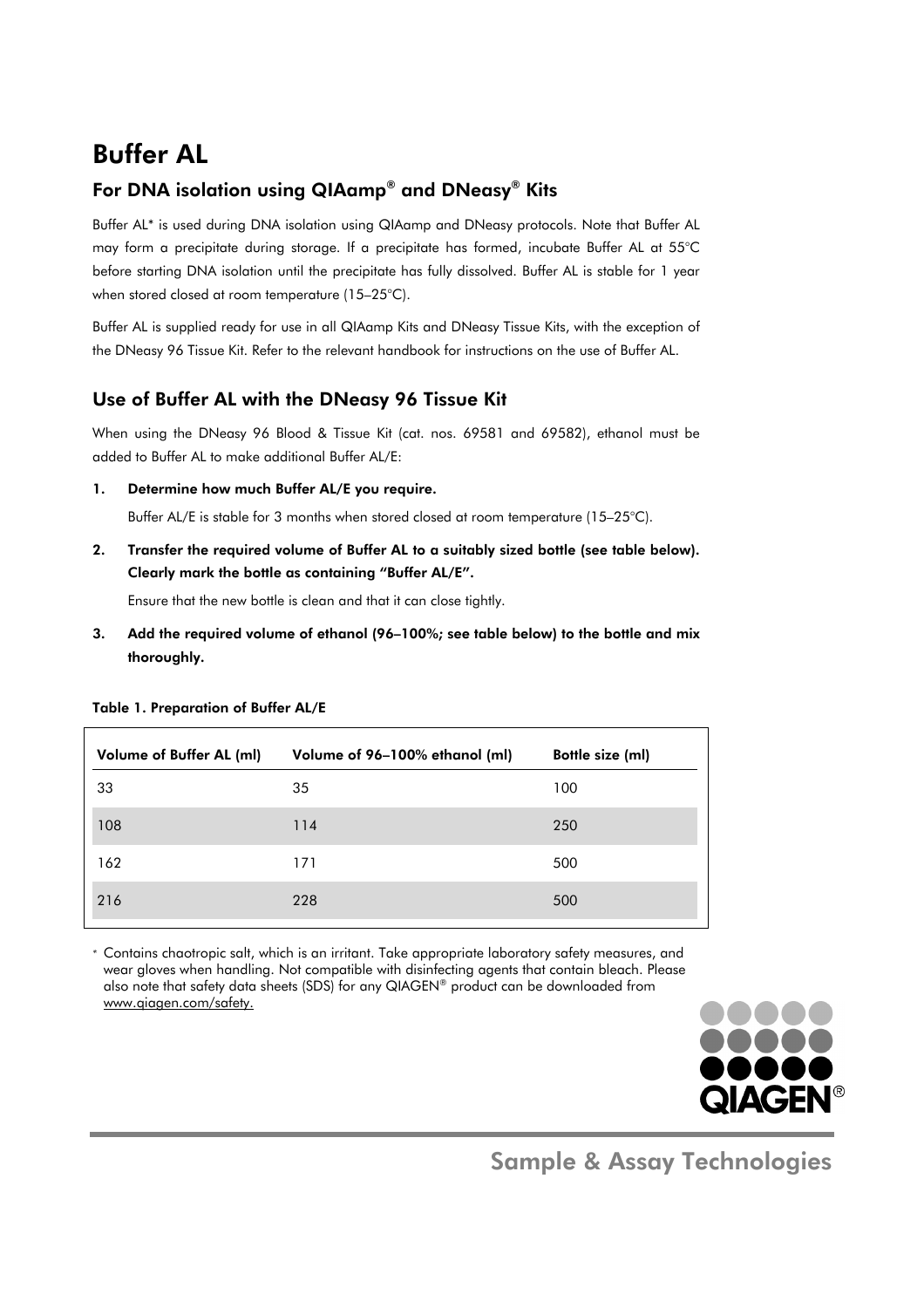## Buffer AL

## For DNA isolation using QIAamp® and DNeasy® Kits

Buffer AL\* is used during DNA isolation using QIAamp and DNeasy protocols. Note that Buffer AL may form a precipitate during storage. If a precipitate has formed, incubate Buffer AL at 55°C before starting DNA isolation until the precipitate has fully dissolved. Buffer AL is stable for 1 year when stored closed at room temperature (15–25°C).

Buffer AL is supplied ready for use in all QIAamp Kits and DNeasy Tissue Kits, with the exception of the DNeasy 96 Tissue Kit. Refer to the relevant handbook for instructions on the use of Buffer AL.

## Use of Buffer AL with the DNeasy 96 Tissue Kit

When using the DNeasy 96 Blood & Tissue Kit (cat. nos. 69581 and 69582), ethanol must be added to Buffer AL to make additional Buffer AL/E:

1. Determine how much Buffer AL/E you require.

Buffer AL/E is stable for 3 months when stored closed at room temperature (15–25°C).

2. Transfer the required volume of Buffer AL to a suitably sized bottle (see table below). Clearly mark the bottle as containing "Buffer AL/E".

Ensure that the new bottle is clean and that it can close tightly.

3. Add the required volume of ethanol (96–100%; see table below) to the bottle and mix thoroughly.

| Volume of Buffer AL (ml) | Volume of 96-100% ethanol (ml) | Bottle size (ml) |
|--------------------------|--------------------------------|------------------|
| 33                       | 35                             | 100              |
| 108                      | 114                            | 250              |
| 162                      | 171                            | 500              |
| 216                      | 228                            | 500              |

Table 1. Preparation of Buffer AL/E

*\** Contains chaotropic salt, which is an irritant. Take appropriate laboratory safety measures, and wear gloves when handling. Not compatible with disinfecting agents that contain bleach. Please also note that safety data sheets (SDS) for any QIAGEN® product can be downloaded from www.qiagen.com/safety.



Sample & Assay Technologies